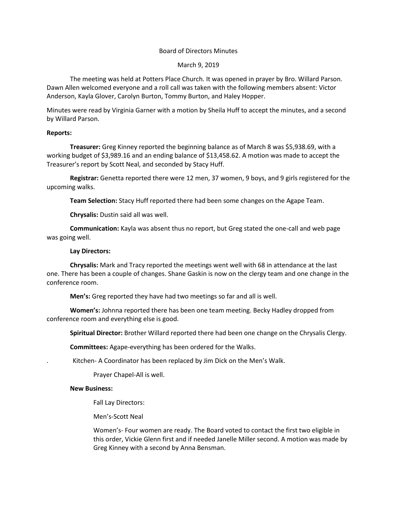# Board of Directors Minutes

## March 9, 2019

The meeting was held at Potters Place Church. It was opened in prayer by Bro. Willard Parson. Dawn Allen welcomed everyone and a roll call was taken with the following members absent: Victor Anderson, Kayla Glover, Carolyn Burton, Tommy Burton, and Haley Hopper.

Minutes were read by Virginia Garner with a motion by Sheila Huff to accept the minutes, and a second by Willard Parson.

#### **Reports:**

**Treasurer:** Greg Kinney reported the beginning balance as of March 8 was \$5,938.69, with a working budget of \$3,989.16 and an ending balance of \$13,458.62. A motion was made to accept the Treasurer's report by Scott Neal, and seconded by Stacy Huff.

**Registrar:** Genetta reported there were 12 men, 37 women, 9 boys, and 9 girls registered for the upcoming walks.

**Team Selection:** Stacy Huff reported there had been some changes on the Agape Team.

**Chrysalis:** Dustin said all was well.

**Communication:** Kayla was absent thus no report, but Greg stated the one-call and web page was going well.

# **Lay Directors:**

**Chrysalis:** Mark and Tracy reported the meetings went well with 68 in attendance at the last one. There has been a couple of changes. Shane Gaskin is now on the clergy team and one change in the conference room.

**Men's:** Greg reported they have had two meetings so far and all is well.

**Women's:** Johnna reported there has been one team meeting. Becky Hadley dropped from conference room and everything else is good.

**Spiritual Director:** Brother Willard reported there had been one change on the Chrysalis Clergy.

**Committees:** Agape-everything has been ordered for the Walks.

. Kitchen- A Coordinator has been replaced by Jim Dick on the Men's Walk.

Prayer Chapel-All is well.

#### **New Business:**

Fall Lay Directors:

Men's-Scott Neal

Women's- Four women are ready. The Board voted to contact the first two eligible in this order, Vickie Glenn first and if needed Janelle Miller second. A motion was made by Greg Kinney with a second by Anna Bensman.